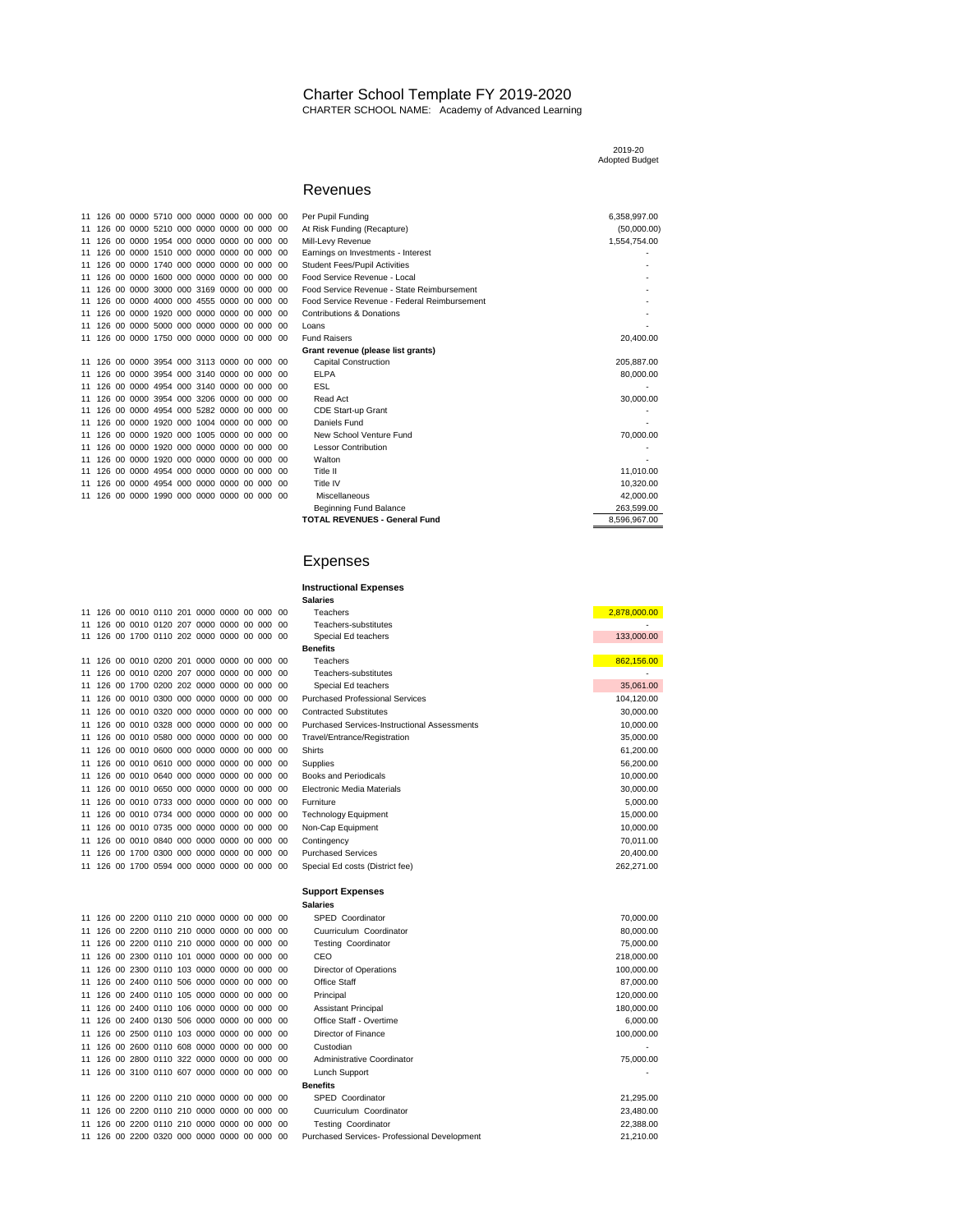## Charter School Template FY 2019-2020 CHARTER SCHOOL NAME: Academy of Advanced Learning

|  |                                             |  |  |  |                                              | 2019-20<br><b>Adopted Budget</b> |
|--|---------------------------------------------|--|--|--|----------------------------------------------|----------------------------------|
|  |                                             |  |  |  | Revenues                                     |                                  |
|  | 11 126 00 0000 5710 000 0000 0000 00 000 00 |  |  |  | Per Pupil Funding                            | 6,358,997.00                     |
|  | 11 126 00 0000 5210 000 0000 0000 00 000 00 |  |  |  | At Risk Funding (Recapture)                  | (50,000.00)                      |
|  | 11 126 00 0000 1954 000 0000 0000 00 000 00 |  |  |  | Mill-Levy Revenue                            | 1,554,754.00                     |
|  | 11 126 00 0000 1510 000 0000 0000 00 000 00 |  |  |  | Earnings on Investments - Interest           |                                  |
|  | 11 126 00 0000 1740 000 0000 0000 00 000 00 |  |  |  | <b>Student Fees/Pupil Activities</b>         |                                  |
|  | 11 126 00 0000 1600 000 0000 0000 00 000 00 |  |  |  | Food Service Revenue - Local                 |                                  |
|  | 11 126 00 0000 3000 000 3169 0000 00 000 00 |  |  |  | Food Service Revenue - State Reimbursement   |                                  |
|  | 11 126 00 0000 4000 000 4555 0000 00 000 00 |  |  |  | Food Service Revenue - Federal Reimbursement |                                  |
|  | 11 126 00 0000 1920 000 0000 0000 00 000 00 |  |  |  | <b>Contributions &amp; Donations</b>         |                                  |
|  | 11 126 00 0000 5000 000 0000 0000 00 000 00 |  |  |  | Loans                                        |                                  |
|  | 11 126 00 0000 1750 000 0000 0000 00 000 00 |  |  |  | <b>Fund Raisers</b>                          | 20,400.00                        |
|  |                                             |  |  |  | Grant revenue (please list grants)           |                                  |
|  | 11 126 00 0000 3954 000 3113 0000 00 000 00 |  |  |  | <b>Capital Construction</b>                  | 205,887.00                       |
|  | 11 126 00 0000 3954 000 3140 0000 00 000 00 |  |  |  | <b>ELPA</b>                                  | 80,000.00                        |
|  | 11 126 00 0000 4954 000 3140 0000 00 000 00 |  |  |  | <b>ESL</b>                                   |                                  |
|  | 11 126 00 0000 3954 000 3206 0000 00 000 00 |  |  |  | Read Act                                     | 30,000.00                        |
|  | 11 126 00 0000 4954 000 5282 0000 00 000 00 |  |  |  | CDE Start-up Grant                           |                                  |
|  | 11 126 00 0000 1920 000 1004 0000 00 000 00 |  |  |  | Daniels Fund                                 |                                  |
|  | 11 126 00 0000 1920 000 1005 0000 00 000 00 |  |  |  | New School Venture Fund                      | 70,000.00                        |
|  | 11 126 00 0000 1920 000 0000 0000 00 000 00 |  |  |  | <b>Lessor Contribution</b>                   |                                  |
|  | 11 126 00 0000 1920 000 0000 0000 00 000 00 |  |  |  | Walton                                       |                                  |
|  | 11 126 00 0000 4954 000 0000 0000 00 000 00 |  |  |  | Title II                                     | 11.010.00                        |
|  | 11 126 00 0000 4954 000 0000 0000 00 000 00 |  |  |  | Title IV                                     | 10,320.00                        |
|  | 11 126 00 0000 1990 000 0000 0000 00 000 00 |  |  |  | Miscellaneous                                | 42.000.00                        |
|  |                                             |  |  |  | <b>Beginning Fund Balance</b>                | 263.599.00                       |
|  |                                             |  |  |  | <b>TOTAL REVENUES - General Fund</b>         | 8,596,967.00                     |

## Expenses

|  |  |  |                                             |  |      | <b>Instructional Expenses</b>                       |              |
|--|--|--|---------------------------------------------|--|------|-----------------------------------------------------|--------------|
|  |  |  |                                             |  |      | <b>Salaries</b>                                     |              |
|  |  |  | 11 126 00 0010 0110 201 0000 0000 00 000 00 |  |      | Teachers                                            | 2,878,000.00 |
|  |  |  | 11 126 00 0010 0120 207 0000 0000 00 000    |  | -00  | Teachers-substitutes                                |              |
|  |  |  | 11 126 00 1700 0110 202 0000 0000 00 000 00 |  |      | Special Ed teachers                                 | 133,000.00   |
|  |  |  |                                             |  |      | <b>Benefits</b>                                     |              |
|  |  |  | 11 126 00 0010 0200 201 0000 0000 00 000 00 |  |      | <b>Teachers</b>                                     | 862,156.00   |
|  |  |  | 11 126 00 0010 0200 207 0000 0000 00 000 00 |  |      | Teachers-substitutes                                |              |
|  |  |  | 11 126 00 1700 0200 202 0000 0000 00 000 00 |  |      | Special Ed teachers                                 | 35.061.00    |
|  |  |  | 11 126 00 0010 0300 000 0000 0000 00 000 00 |  |      | <b>Purchased Professional Services</b>              | 104,120.00   |
|  |  |  | 11 126 00 0010 0320 000 0000 0000 00 000 00 |  |      | <b>Contracted Substitutes</b>                       | 30,000.00    |
|  |  |  | 11 126 00 0010 0328 000 0000 0000 00 000 00 |  |      | <b>Purchased Services-Instructional Assessments</b> | 10,000.00    |
|  |  |  | 11 126 00 0010 0580 000 0000 0000 00 000 00 |  |      | Travel/Entrance/Registration                        | 35,000.00    |
|  |  |  | 11 126 00 0010 0600 000 0000 0000 00 000 00 |  |      | <b>Shirts</b>                                       | 61,200.00    |
|  |  |  | 11 126 00 0010 0610 000 0000 0000 00 000 00 |  |      | Supplies                                            | 56,200.00    |
|  |  |  | 11 126 00 0010 0640 000 0000 0000 00 000 00 |  |      | <b>Books and Periodicals</b>                        | 10,000.00    |
|  |  |  | 11 126 00 0010 0650 000 0000 0000 00 000 00 |  |      | Electronic Media Materials                          | 30,000.00    |
|  |  |  | 11 126 00 0010 0733 000 0000 0000 00 000 00 |  |      | Furniture                                           | 5,000.00     |
|  |  |  | 11 126 00 0010 0734 000 0000 0000 00 000 00 |  |      | <b>Technology Equipment</b>                         | 15,000.00    |
|  |  |  | 11 126 00 0010 0735 000 0000 0000 00 000 00 |  |      | Non-Cap Equipment                                   | 10,000.00    |
|  |  |  | 11 126 00 0010 0840 000 0000 0000 00 000 00 |  |      | Contingency                                         | 70,011.00    |
|  |  |  | 11 126 00 1700 0300 000 0000 0000 00 000 00 |  |      | <b>Purchased Services</b>                           | 20,400.00    |
|  |  |  | 11 126 00 1700 0594 000 0000 0000 00 000 00 |  |      | Special Ed costs (District fee)                     | 262,271.00   |
|  |  |  |                                             |  |      | <b>Support Expenses</b>                             |              |
|  |  |  |                                             |  |      | <b>Salaries</b>                                     |              |
|  |  |  | 11 126 00 2200 0110 210 0000 0000 00 000 00 |  |      | SPED Coordinator                                    | 70,000.00    |
|  |  |  | 11 126 00 2200 0110 210 0000 0000 00 000 00 |  |      | Cuurriculum Coordinator                             | 80,000.00    |
|  |  |  | 11 126 00 2200 0110 210 0000 0000 00 000 00 |  |      | <b>Testing Coordinator</b>                          | 75,000.00    |
|  |  |  | 11 126 00 2300 0110 101 0000 0000 00 000 00 |  |      | CEO                                                 | 218,000.00   |
|  |  |  | 11 126 00 2300 0110 103 0000 0000 00 000 00 |  |      | Director of Operations                              | 100,000.00   |
|  |  |  | 11 126 00 2400 0110 506 0000 0000 00 000 00 |  |      | Office Staff                                        | 87,000.00    |
|  |  |  | 11 126 00 2400 0110 105 0000 0000 00 000 00 |  |      | Principal                                           | 120,000.00   |
|  |  |  | 11 126 00 2400 0110 106 0000 0000 00 000    |  | - 00 | <b>Assistant Principal</b>                          | 180,000.00   |
|  |  |  | 11 126 00 2400 0130 506 0000 0000 00 000    |  | ററ   | Office Staff - Overtime                             | 6.000.00     |
|  |  |  | 11 126 00 2500 0110 103 0000 0000 00 000 00 |  |      | Director of Finance                                 | 100,000.00   |
|  |  |  | 11 126 00 2600 0110 608 0000 0000 00 000 00 |  |      | Custodian                                           |              |
|  |  |  | 11 126 00 2800 0110 322 0000 0000 00 000 00 |  |      | Administrative Coordinator                          | 75,000.00    |
|  |  |  | 11 126 00 3100 0110 607 0000 0000 00 000 00 |  |      | Lunch Support                                       |              |
|  |  |  |                                             |  |      | <b>Benefits</b>                                     |              |

|  |  |  | 11 126 00 2800 0110 322 0000 0000 00 000 00 |  |  | Administrative Coordinator                   | 75,000,00 |
|--|--|--|---------------------------------------------|--|--|----------------------------------------------|-----------|
|  |  |  | 11 126 00 3100 0110 607 0000 0000 00 000 00 |  |  | Lunch Support                                | . .       |
|  |  |  |                                             |  |  | <b>Benefits</b>                              |           |
|  |  |  | 11 126 00 2200 0110 210 0000 0000 00 000 00 |  |  | SPED Coordinator                             | 21.295.00 |
|  |  |  | 11 126 00 2200 0110 210 0000 0000 00 000 00 |  |  | Cuurriculum Coordinator                      | 23,480.00 |
|  |  |  | 11 126 00 2200 0110 210 0000 0000 00 000 00 |  |  | Testing Coordinator                          | 22.388.00 |
|  |  |  | 11 126 00 2200 0320 000 0000 0000 00 000 00 |  |  | Purchased Services- Professional Development | 21.210.00 |

| 11 |  | 126 00 0000 5710 000 0000 0000 00 000 |  |  |  | ΩO |  |
|----|--|---------------------------------------|--|--|--|----|--|
| 11 |  | 126 00 0000 5210 000 0000 0000 00 000 |  |  |  | 00 |  |
| 11 |  | 126 00 0000 1954 000 0000 0000 00 000 |  |  |  | 00 |  |
| 11 |  | 126 00 0000 1510 000 0000 0000 00 000 |  |  |  | 00 |  |
| 11 |  | 126 00 0000 1740 000 0000 0000 00 000 |  |  |  | 00 |  |
| 11 |  | 126 00 0000 1600 000 0000 0000 00 000 |  |  |  | 00 |  |
| 11 |  | 126 00 0000 3000 000 3169 0000 00 000 |  |  |  | 00 |  |
| 11 |  | 126 00 0000 4000 000 4555 0000 00 000 |  |  |  | 00 |  |
| 11 |  | 126 00 0000 1920 000 0000 0000 00 000 |  |  |  | 00 |  |
| 11 |  | 126 00 0000 5000 000 0000 0000 00 000 |  |  |  | 00 |  |
| 11 |  | 126 00 0000 1750 000 0000 0000 00 000 |  |  |  | 00 |  |
|    |  |                                       |  |  |  |    |  |
| 11 |  | 126 00 0000 3954 000 3113 0000 00 000 |  |  |  | 00 |  |
| 11 |  | 126 00 0000 3954 000 3140 0000 00 000 |  |  |  | 00 |  |
| 11 |  | 126 00 0000 4954 000 3140 0000 00 000 |  |  |  | 00 |  |
| 11 |  | 126 00 0000 3954 000 3206 0000 00 000 |  |  |  | 00 |  |
| 11 |  | 126 00 0000 4954 000 5282 0000 00 000 |  |  |  | 00 |  |
| 11 |  | 126 00 0000 1920 000 1004 0000 00 000 |  |  |  | 00 |  |
| 11 |  | 126 00 0000 1920 000 1005 0000 00 000 |  |  |  | 00 |  |
| 11 |  | 126 00 0000 1920 000 0000 0000 00 000 |  |  |  | 00 |  |
| 11 |  | 126 00 0000 1920 000 0000 0000 00 000 |  |  |  | 00 |  |
| 11 |  | 126 00 0000 4954 000 0000 0000 00 000 |  |  |  | 00 |  |
| 11 |  | 126 00 0000 4954 000 0000 0000 00 000 |  |  |  | 00 |  |
| 11 |  | 126 00 0000 1990 000 0000 0000 00 000 |  |  |  | 00 |  |
|    |  |                                       |  |  |  |    |  |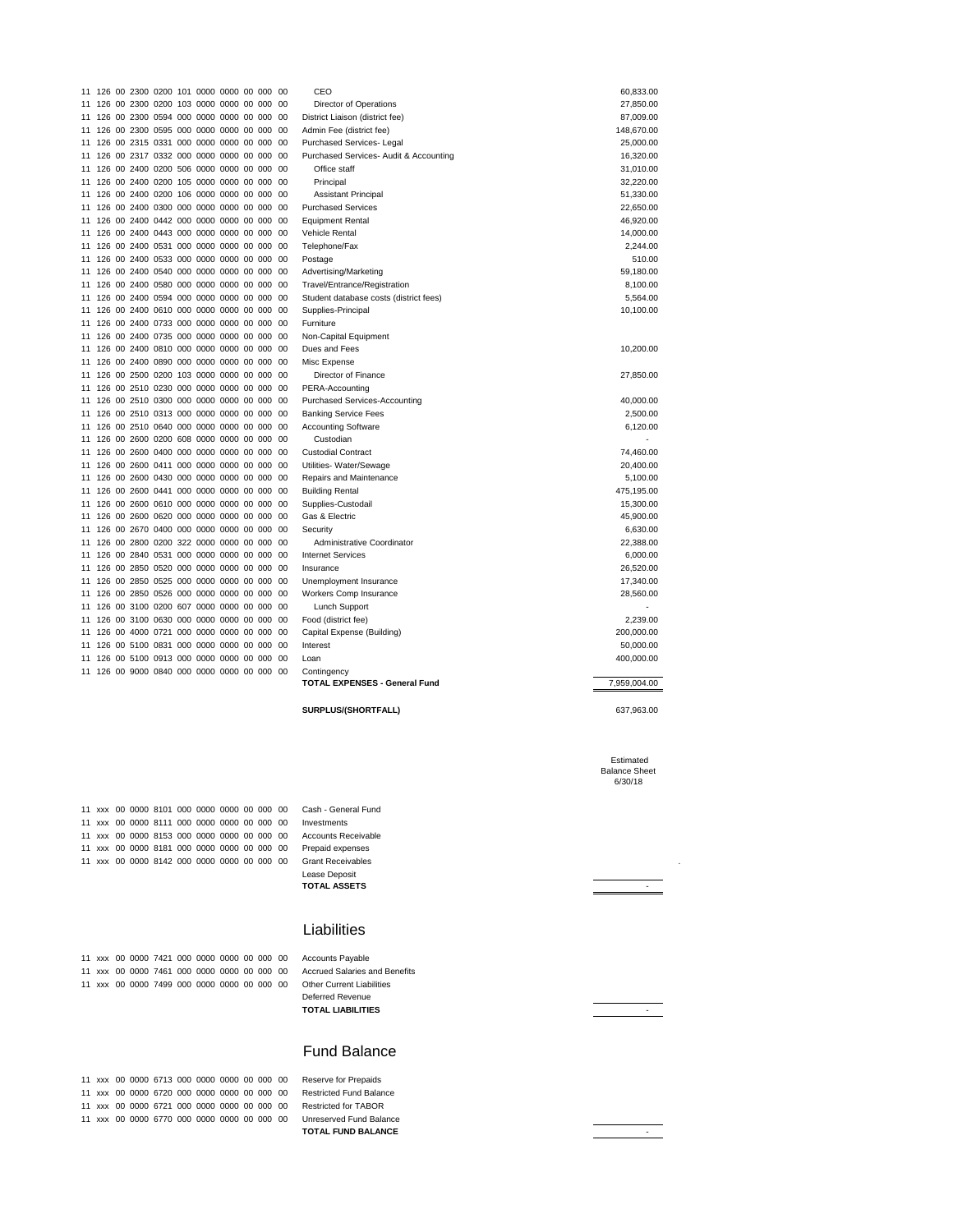|    |        |         |                  | 11 126 00 2300 0200 101 0000 0000 00 000    |  | - 00 | CEO                                    | 60,833.00    |
|----|--------|---------|------------------|---------------------------------------------|--|------|----------------------------------------|--------------|
|    | 11 126 | 00 2300 | 0200             | 103 0000 0000 00 000                        |  | 00   | Director of Operations                 | 27,850.00    |
|    |        |         |                  | 11 126 00 2300 0594 000 0000 0000 00 000    |  | 00   | District Liaison (district fee)        | 87,009.00    |
|    | 11 126 | 00 2300 |                  | 0595 000 0000 0000 00 000                   |  | 00   | Admin Fee (district fee)               | 148,670.00   |
|    |        |         |                  | 11 126 00 2315 0331 000 0000 0000 00 000    |  | -00  | Purchased Services- Legal              | 25,000.00    |
|    |        |         |                  | 11 126 00 2317 0332 000 0000 0000 00 000    |  | 00   | Purchased Services- Audit & Accounting | 16,320.00    |
|    |        |         |                  | 11 126 00 2400 0200 506 0000 0000 00 000 00 |  |      | Office staff                           | 31,010.00    |
| 11 | 126    |         |                  | 00 2400 0200 105 0000 0000 00 000           |  | 00   | Principal                              | 32,220.00    |
|    | 11 126 |         |                  | 00 2400 0200 106 0000 0000 00 000           |  | 00   | <b>Assistant Principal</b>             | 51,330.00    |
|    |        |         |                  | 11 126 00 2400 0300 000 0000 0000 00 000    |  | -00  | <b>Purchased Services</b>              | 22,650.00    |
|    |        |         |                  | 11 126 00 2400 0442 000 0000 0000 00 000    |  | 00   | <b>Equipment Rental</b>                | 46,920.00    |
|    |        |         |                  | 11 126 00 2400 0443 000 0000 0000 00 000    |  | 00   | <b>Vehicle Rental</b>                  | 14,000.00    |
|    | 11 126 |         |                  | 00 2400 0531 000 0000 0000 00 000           |  | 00   | Telephone/Fax                          | 2,244.00     |
|    |        |         |                  | 11 126 00 2400 0533 000 0000 0000 00 000    |  | 00   | Postage                                | 510.00       |
|    |        |         |                  | 11 126 00 2400 0540 000 0000 0000 00 000    |  | -00  | Advertising/Marketing                  | 59.180.00    |
|    |        |         |                  | 11 126 00 2400 0580 000 0000 0000 00 000    |  | 00   | Travel/Entrance/Registration           | 8,100.00     |
|    | 11 126 |         |                  | 00 2400 0594 000 0000 0000 00 000           |  | -00  | Student database costs (district fees) | 5,564.00     |
|    |        |         |                  | 11 126 00 2400 0610 000 0000 0000 00 000    |  | 00   | Supplies-Principal                     | 10,100.00    |
|    |        |         |                  | 11 126 00 2400 0733 000 0000 0000 00 000    |  | 00   | Furniture                              |              |
|    | 11 126 |         |                  | 00 2400 0735 000 0000 0000 00 000           |  | -00  | Non-Capital Equipment                  |              |
|    |        |         |                  | 11 126 00 2400 0810 000 0000 0000 00 000    |  | -00  | Dues and Fees                          | 10,200.00    |
|    | 11 126 |         | 00 2400 0890 000 | 0000 0000 00 000                            |  | -00  | Misc Expense                           |              |
|    |        |         |                  | 11 126 00 2500 0200 103 0000 0000 00 000    |  | 00   | Director of Finance                    | 27,850.00    |
|    |        |         |                  | 11 126 00 2510 0230 000 0000 0000 00 000    |  | -00  | PERA-Accounting                        |              |
|    |        |         |                  | 11 126 00 2510 0300 000 0000 0000 00 000    |  | - 00 | <b>Purchased Services-Accounting</b>   | 40,000.00    |
|    |        |         |                  | 11 126 00 2510 0313 000 0000 0000 00 000    |  | - 00 | <b>Banking Service Fees</b>            | 2,500.00     |
|    | 11 126 |         |                  | 00 2510 0640 000 0000 0000 00 000           |  | 00   | <b>Accounting Software</b>             | 6,120.00     |
|    |        |         |                  | 11 126 00 2600 0200 608 0000 0000 00 000    |  | 00   | Custodian                              |              |
|    | 11 126 | 00 2600 |                  | 0400 000 0000 0000 00 000                   |  | 00   | <b>Custodial Contract</b>              | 74,460.00    |
|    | 11 126 |         |                  | 00 2600 0411 000 0000 0000 00 000           |  | -00  | Utilities- Water/Sewage                | 20,400.00    |
|    | 11 126 |         |                  | 00 2600 0430 000 0000 0000 00 000           |  | -00  | Repairs and Maintenance                | 5.100.00     |
|    |        |         |                  | 11 126 00 2600 0441 000 0000 0000 00 000    |  | -00  | <b>Building Rental</b>                 | 475,195.00   |
|    |        |         |                  | 11 126 00 2600 0610 000 0000 0000 00 000    |  | -00  | Supplies-Custodail                     | 15,300.00    |
|    |        |         |                  | 11 126 00 2600 0620 000 0000 0000 00 000    |  | 00   | Gas & Electric                         | 45,900.00    |
|    |        |         |                  | 11 126 00 2670 0400 000 0000 0000 00 000    |  | - 00 | Security                               | 6,630.00     |
|    | 11 126 |         |                  | 00 2800 0200 322 0000 0000 00 000           |  | 00   | Administrative Coordinator             | 22.388.00    |
|    |        |         |                  | 11 126 00 2840 0531 000 0000 0000 00 000    |  | 00   | <b>Internet Services</b>               | 6,000.00     |
|    | 11 126 | 00 2850 |                  | 0520 000 0000 0000 00 000                   |  | 00   | Insurance                              | 26,520.00    |
|    |        |         |                  | 11 126 00 2850 0525 000 0000 0000 00 000    |  | -00  | Unemployment Insurance                 | 17,340.00    |
|    | 11 126 |         |                  | 00 2850 0526 000 0000 0000 00 000           |  | -00  | Workers Comp Insurance                 | 28,560.00    |
|    |        |         |                  | 11 126 00 3100 0200 607 0000 0000 00 000    |  | - 00 | Lunch Support                          |              |
|    |        |         |                  | 11 126 00 3100 0630 000 0000 0000 00 000    |  | - 00 | Food (district fee)                    | 2,239.00     |
|    |        |         |                  | 11 126 00 4000 0721 000 0000 0000 00 000 00 |  |      | Capital Expense (Building)             | 200,000.00   |
|    | 11 126 |         |                  | 00 5100 0831 000 0000 0000 00 000           |  | 00   | Interest                               | 50,000.00    |
|    | 11 126 | 00 5100 |                  | 0913 000 0000 0000 00 000                   |  | 00   | Loan                                   | 400,000.00   |
|    |        |         |                  | 11 126 00 9000 0840 000 0000 0000 00 000 00 |  |      | Contingency                            |              |
|    |        |         |                  |                                             |  |      | <b>TOTAL EXPENSES - General Fund</b>   | 7,959,004.00 |
|    |        |         |                  |                                             |  |      |                                        |              |

**SURPLUS/(SHORTFALL)** 637,963.00

 Estimated Balance Sheet 6/30/18

xxx 00 0000 8142 000 0000 0000 00 000 00 Grant Receivables .

 xxx 00 0000 8101 000 0000 0000 00 000 00 Cash - General Fund xxx 00 0000 8111 000 0000 0000 00 000 00 Investments xxx 00 0000 8153 000 0000 0000 00 000 00 Accounts Receivable xxx 00 0000 8181 000 0000 0000 00 000 00 Prepaid expenses

11 126<br>11 126

11 126

## Liabilities

Lease Deposit **TOTAL ASSETS** -

|  |  | 11 xxx 00 0000 7421 000 0000 0000 00 000 00 |  |  |  | Accounts Payable                     |
|--|--|---------------------------------------------|--|--|--|--------------------------------------|
|  |  | 11 xxx 00 0000 7461 000 0000 0000 00 000 00 |  |  |  | <b>Accrued Salaries and Benefits</b> |
|  |  | 11 xxx 00 0000 7499 000 0000 0000 00 000 00 |  |  |  | <b>Other Current Liabilities</b>     |
|  |  |                                             |  |  |  | Deferred Revenue                     |
|  |  |                                             |  |  |  | <b>TOTAL LIABILITIES</b>             |

 xxx 00 0000 6713 000 0000 0000 00 000 00 Reserve for Prepaids xxx 00 0000 6720 000 0000 0000 00 000 00 Restricted Fund Balance xxx 00 0000 6721 000 0000 0000 00 000 00 Restricted for TABOR xxx 00 0000 6770 000 0000 0000 00 000 00 Unreserved Fund Balance

**TOTAL FUND BALANCE And a set of the set of the set of the set of the set of the set of the set of the set of the set of the set of the set of the set of the set of the set of the set of the set of the set of the set of** 

Fund Balance